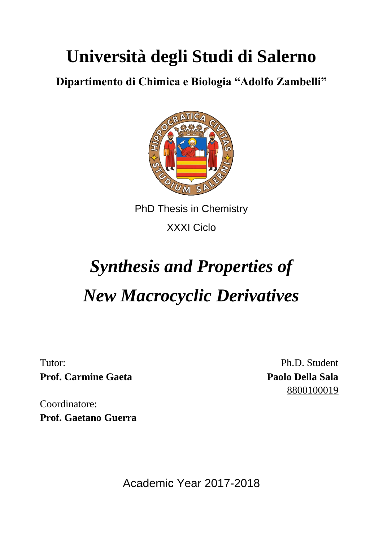## **Università degli Studi di Salerno**

**Dipartimento di Chimica e Biologia "Adolfo Zambelli"**



PhD Thesis in Chemistry XXXI Ciclo

## *Synthesis and Properties of New Macrocyclic Derivatives*

Tutor: **Prof. Carmine Gaeta**

Ph.D. Student **Paolo Della Sala** 8800100019

Coordinatore: **Prof. Gaetano Guerra**

Academic Year 2017-2018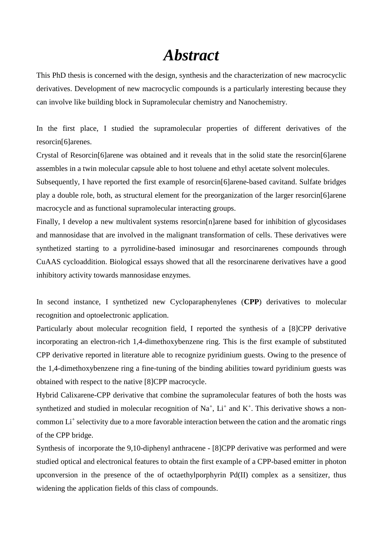## *Abstract*

This PhD thesis is concerned with the design, synthesis and the characterization of new macrocyclic derivatives. Development of new macrocyclic compounds is a particularly interesting because they can involve like building block in Supramolecular chemistry and Nanochemistry.

In the first place, I studied the supramolecular properties of different derivatives of the resorcin[6]arenes.

Crystal of Resorcin[6]arene was obtained and it reveals that in the solid state the resorcin[6]arene assembles in a twin molecular capsule able to host toluene and ethyl acetate solvent molecules.

Subsequently, I have reported the first example of resorcin[6]arene-based cavitand. Sulfate bridges play a double role, both, as structural element for the preorganization of the larger resorcin[6]arene macrocycle and as functional supramolecular interacting groups.

Finally, I develop a new multivalent systems resorcin[n]arene based for inhibition of glycosidases and mannosidase that are involved in the malignant transformation of cells. These derivatives were synthetized starting to a pyrrolidine-based iminosugar and resorcinarenes compounds through CuAAS cycloaddition. Biological essays showed that all the resorcinarene derivatives have a good inhibitory activity towards mannosidase enzymes.

In second instance, I synthetized new Cycloparaphenylenes (**CPP**) derivatives to molecular recognition and optoelectronic application.

Particularly about molecular recognition field, I reported the synthesis of a [8]CPP derivative incorporating an electron-rich 1,4-dimethoxybenzene ring. This is the first example of substituted CPP derivative reported in literature able to recognize pyridinium guests. Owing to the presence of the 1,4-dimethoxybenzene ring a fine-tuning of the binding abilities toward pyridinium guests was obtained with respect to the native [8]CPP macrocycle.

Hybrid Calixarene-CPP derivative that combine the supramolecular features of both the hosts was synthetized and studied in molecular recognition of  $Na^+$ ,  $Li^+$  and  $K^+$ . This derivative shows a noncommon Li<sup>+</sup> selectivity due to a more favorable interaction between the cation and the aromatic rings of the CPP bridge.

Synthesis of incorporate the 9,10-diphenyl anthracene - [8]CPP derivative was performed and were studied optical and electronical features to obtain the first example of a CPP-based emitter in photon upconversion in the presence of the of octaethylporphyrin Pd(II) complex as a sensitizer, thus widening the application fields of this class of compounds.